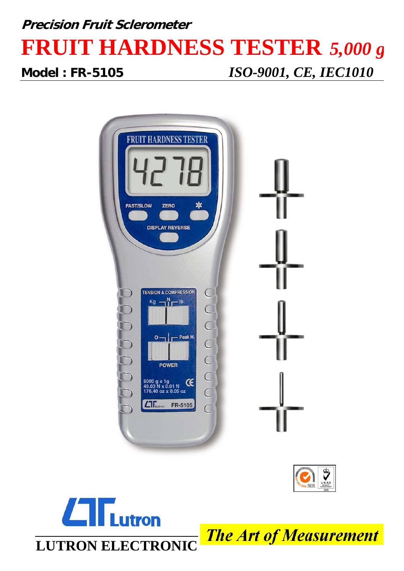## **Precision Fruit Sclerometer FRUIT HARDNESS TESTER** *5,000 g*

**Model : FR-5105** *ISO-9001, CE, IEC1010*





## **utron LUTRON ELECTRONIC**

**The Art of Measurement**